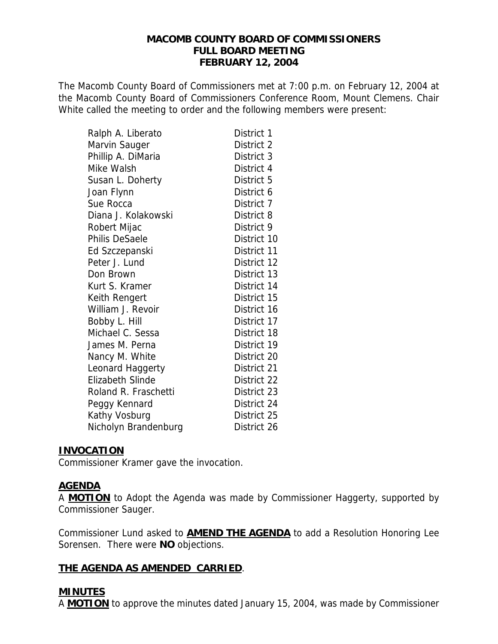## **MACOMB COUNTY BOARD OF COMMISSIONERS FULL BOARD MEETING FEBRUARY 12, 2004**

The Macomb County Board of Commissioners met at 7:00 p.m. on February 12, 2004 at the Macomb County Board of Commissioners Conference Room, Mount Clemens. Chair White called the meeting to order and the following members were present:

| Ralph A. Liberato       | District 1  |
|-------------------------|-------------|
| Marvin Sauger           | District 2  |
| Phillip A. DiMaria      | District 3  |
| Mike Walsh              | District 4  |
| Susan L. Doherty        | District 5  |
| Joan Flynn              | District 6  |
| Sue Rocca               | District 7  |
| Diana J. Kolakowski     | District 8  |
| Robert Mijac            | District 9  |
| <b>Philis DeSaele</b>   | District 10 |
| Ed Szczepanski          | District 11 |
| Peter J. Lund           | District 12 |
| Don Brown               | District 13 |
| Kurt S. Kramer          | District 14 |
| Keith Rengert           | District 15 |
| William J. Revoir       | District 16 |
| Bobby L. Hill           | District 17 |
| Michael C. Sessa        | District 18 |
| James M. Perna          | District 19 |
| Nancy M. White          | District 20 |
| Leonard Haggerty        | District 21 |
| <b>Elizabeth Slinde</b> | District 22 |
| Roland R. Fraschetti    | District 23 |
| Peggy Kennard           | District 24 |
| Kathy Vosburg           | District 25 |
| Nicholyn Brandenburg    | District 26 |

## **INVOCATION**

Commissioner Kramer gave the invocation.

## **AGENDA**

A **MOTION** to Adopt the Agenda was made by Commissioner Haggerty, supported by Commissioner Sauger.

Commissioner Lund asked to **AMEND THE AGENDA** to add a Resolution Honoring Lee Sorensen. There were **NO** objections.

## **THE AGENDA AS AMENDED CARRIED**.

# **MINUTES**

A **MOTION** to approve the minutes dated January 15, 2004, was made by Commissioner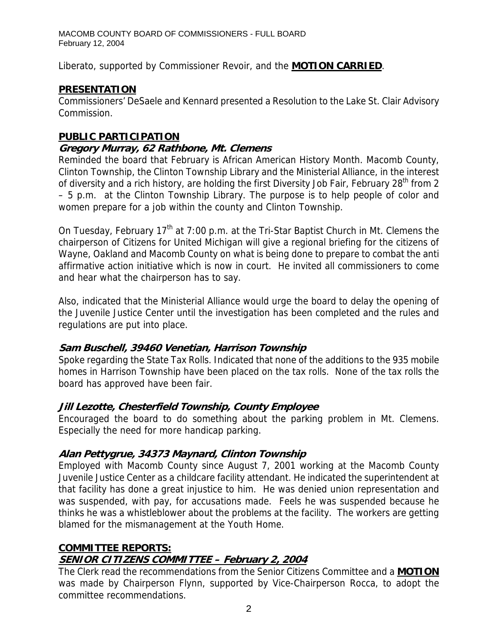Liberato, supported by Commissioner Revoir, and the **MOTION CARRIED**.

# **PRESENTATION**

Commissioners' DeSaele and Kennard presented a Resolution to the Lake St. Clair Advisory Commission.

# **PUBLIC PARTICIPATION**

# **Gregory Murray, 62 Rathbone, Mt. Clemens**

Reminded the board that February is African American History Month. Macomb County, Clinton Township, the Clinton Township Library and the Ministerial Alliance, in the interest of diversity and a rich history, are holding the first Diversity Job Fair, February 28<sup>th</sup> from 2 – 5 p.m. at the Clinton Township Library. The purpose is to help people of color and women prepare for a job within the county and Clinton Township.

On Tuesday, February 17<sup>th</sup> at 7:00 p.m. at the Tri-Star Baptist Church in Mt. Clemens the chairperson of Citizens for United Michigan will give a regional briefing for the citizens of Wayne, Oakland and Macomb County on what is being done to prepare to combat the anti affirmative action initiative which is now in court. He invited all commissioners to come and hear what the chairperson has to say.

Also, indicated that the Ministerial Alliance would urge the board to delay the opening of the Juvenile Justice Center until the investigation has been completed and the rules and regulations are put into place.

# **Sam Buschell, 39460 Venetian, Harrison Township**

Spoke regarding the State Tax Rolls. Indicated that none of the additions to the 935 mobile homes in Harrison Township have been placed on the tax rolls. None of the tax rolls the board has approved have been fair.

# **Jill Lezotte, Chesterfield Township, County Employee**

Encouraged the board to do something about the parking problem in Mt. Clemens. Especially the need for more handicap parking.

# **Alan Pettygrue, 34373 Maynard, Clinton Township**

Employed with Macomb County since August 7, 2001 working at the Macomb County Juvenile Justice Center as a childcare facility attendant. He indicated the superintendent at that facility has done a great injustice to him. He was denied union representation and was suspended, with pay, for accusations made. Feels he was suspended because he thinks he was a whistleblower about the problems at the facility. The workers are getting blamed for the mismanagement at the Youth Home.

# **COMMITTEE REPORTS:**

# **SENIOR CITIZENS COMMITTEE – February 2, 2004**

The Clerk read the recommendations from the Senior Citizens Committee and a **MOTION** was made by Chairperson Flynn, supported by Vice-Chairperson Rocca, to adopt the committee recommendations.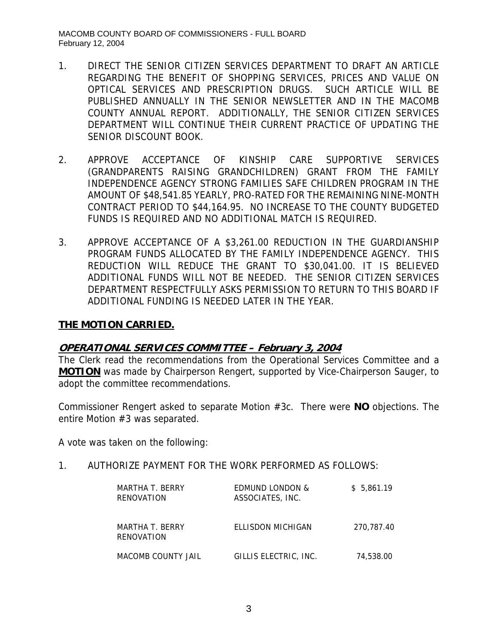- 1. DIRECT THE SENIOR CITIZEN SERVICES DEPARTMENT TO DRAFT AN ARTICLE REGARDING THE BENEFIT OF SHOPPING SERVICES, PRICES AND VALUE ON OPTICAL SERVICES AND PRESCRIPTION DRUGS. SUCH ARTICLE WILL BE PUBLISHED ANNUALLY IN THE SENIOR NEWSLETTER AND IN THE MACOMB COUNTY ANNUAL REPORT. ADDITIONALLY, THE SENIOR CITIZEN SERVICES DEPARTMENT WILL CONTINUE THEIR CURRENT PRACTICE OF UPDATING THE SENIOR DISCOUNT BOOK.
- 2. APPROVE ACCEPTANCE OF KINSHIP CARE SUPPORTIVE SERVICES (GRANDPARENTS RAISING GRANDCHILDREN) GRANT FROM THE FAMILY INDEPENDENCE AGENCY STRONG FAMILIES SAFE CHILDREN PROGRAM IN THE AMOUNT OF \$48,541.85 YEARLY, PRO-RATED FOR THE REMAINING NINE-MONTH CONTRACT PERIOD TO \$44,164.95. NO INCREASE TO THE COUNTY BUDGETED FUNDS IS REQUIRED AND NO ADDITIONAL MATCH IS REQUIRED.
- 3. APPROVE ACCEPTANCE OF A \$3,261.00 REDUCTION IN THE GUARDIANSHIP PROGRAM FUNDS ALLOCATED BY THE FAMILY INDEPENDENCE AGENCY. THIS REDUCTION WILL REDUCE THE GRANT TO \$30,041.00. IT IS BELIEVED ADDITIONAL FUNDS WILL NOT BE NEEDED. THE SENIOR CITIZEN SERVICES DEPARTMENT RESPECTFULLY ASKS PERMISSION TO RETURN TO THIS BOARD IF ADDITIONAL FUNDING IS NEEDED LATER IN THE YEAR.

## **THE MOTION CARRIED.**

## **OPERATIONAL SERVICES COMMITTEE – February 3, 2004**

The Clerk read the recommendations from the Operational Services Committee and a **MOTION** was made by Chairperson Rengert, supported by Vice-Chairperson Sauger, to adopt the committee recommendations.

Commissioner Rengert asked to separate Motion #3c. There were **NO** objections. The entire Motion #3 was separated.

A vote was taken on the following:

1. AUTHORIZE PAYMENT FOR THE WORK PERFORMED AS FOLLOWS:

| MARTHA T. BERRY<br>RENOVATION | <b>EDMUND LONDON &amp;</b><br>ASSOCIATES, INC. | \$5.861.19 |
|-------------------------------|------------------------------------------------|------------|
| MARTHA T. BERRY<br>RENOVATION | ELLISDON MICHIGAN                              | 270.787.40 |
| MACOMB COUNTY JAIL            | GILLIS ELECTRIC. INC.                          | 74.538.00  |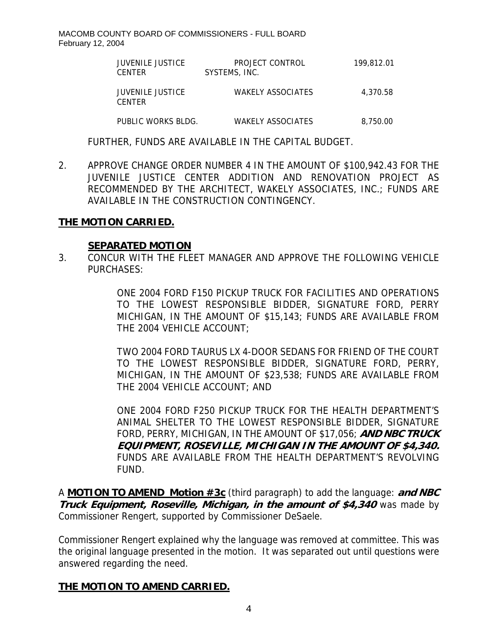| <b>JUVENILE JUSTICE</b><br><b>CENTER</b> | PROJECT CONTROL<br>SYSTEMS, INC. | 199,812.01 |
|------------------------------------------|----------------------------------|------------|
| JUVENILE JUSTICE<br><b>CENTER</b>        | <b>WAKELY ASSOCIATES</b>         | 4.370.58   |
| PUBLIC WORKS BLDG.                       | <b>WAKELY ASSOCIATES</b>         | 8.750.00   |

FURTHER, FUNDS ARE AVAILABLE IN THE CAPITAL BUDGET.

2. APPROVE CHANGE ORDER NUMBER 4 IN THE AMOUNT OF \$100,942.43 FOR THE JUVENILE JUSTICE CENTER ADDITION AND RENOVATION PROJECT AS RECOMMENDED BY THE ARCHITECT, WAKELY ASSOCIATES, INC.; FUNDS ARE AVAILABLE IN THE CONSTRUCTION CONTINGENCY.

## **THE MOTION CARRIED.**

#### **SEPARATED MOTION**

3. CONCUR WITH THE FLEET MANAGER AND APPROVE THE FOLLOWING VEHICLE PURCHASES:

> ONE 2004 FORD F150 PICKUP TRUCK FOR FACILITIES AND OPERATIONS TO THE LOWEST RESPONSIBLE BIDDER, SIGNATURE FORD, PERRY MICHIGAN, IN THE AMOUNT OF \$15,143; FUNDS ARE AVAILABLE FROM THE 2004 VEHICLE ACCOUNT;

> TWO 2004 FORD TAURUS LX 4-DOOR SEDANS FOR FRIEND OF THE COURT TO THE LOWEST RESPONSIBLE BIDDER, SIGNATURE FORD, PERRY, MICHIGAN, IN THE AMOUNT OF \$23,538; FUNDS ARE AVAILABLE FROM THE 2004 VEHICLE ACCOUNT; AND

> ONE 2004 FORD F250 PICKUP TRUCK FOR THE HEALTH DEPARTMENT'S ANIMAL SHELTER TO THE LOWEST RESPONSIBLE BIDDER, SIGNATURE FORD, PERRY, MICHIGAN, IN THE AMOUNT OF \$17,056; **AND NBC TRUCK EQUIPMENT, ROSEVILLE, MICHIGAN IN THE AMOUNT OF \$4,340.** FUNDS ARE AVAILABLE FROM THE HEALTH DEPARTMENT'S REVOLVING FUND.

A **MOTION TO AMEND Motion #3c** (third paragraph) to add the language: **and NBC Truck Equipment, Roseville, Michigan, in the amount of \$4,340** was made by Commissioner Rengert, supported by Commissioner DeSaele.

Commissioner Rengert explained why the language was removed at committee. This was the original language presented in the motion. It was separated out until questions were answered regarding the need.

## **THE MOTION TO AMEND CARRIED.**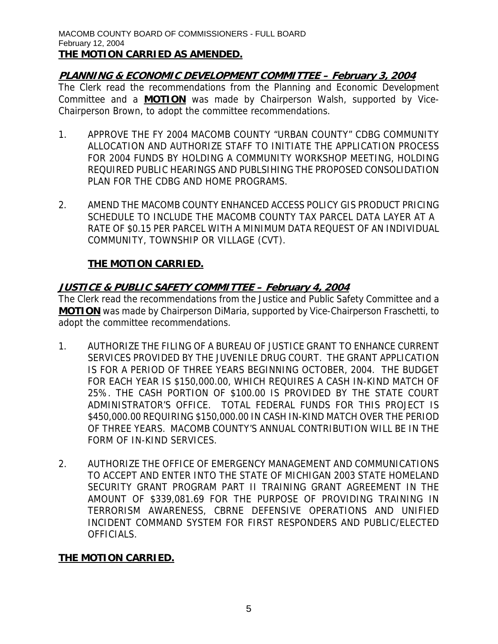# **PLANNING & ECONOMIC DEVELOPMENT COMMITTEE – February 3, 2004**

The Clerk read the recommendations from the Planning and Economic Development Committee and a **MOTION** was made by Chairperson Walsh, supported by Vice-Chairperson Brown, to adopt the committee recommendations.

- 1. APPROVE THE FY 2004 MACOMB COUNTY "URBAN COUNTY" CDBG COMMUNITY ALLOCATION AND AUTHORIZE STAFF TO INITIATE THE APPLICATION PROCESS FOR 2004 FUNDS BY HOLDING A COMMUNITY WORKSHOP MEETING, HOLDING REQUIRED PUBLIC HEARINGS AND PUBLSIHING THE PROPOSED CONSOLIDATION PLAN FOR THE CDBG AND HOME PROGRAMS.
- 2. AMEND THE MACOMB COUNTY ENHANCED ACCESS POLICY GIS PRODUCT PRICING SCHEDULE TO INCLUDE THE MACOMB COUNTY TAX PARCEL DATA LAYER AT A RATE OF \$0.15 PER PARCEL WITH A MINIMUM DATA REQUEST OF AN INDIVIDUAL COMMUNITY, TOWNSHIP OR VILLAGE (CVT).

# **THE MOTION CARRIED.**

# **JUSTICE & PUBLIC SAFETY COMMITTEE – February 4, 2004**

The Clerk read the recommendations from the Justice and Public Safety Committee and a **MOTION** was made by Chairperson DiMaria, supported by Vice-Chairperson Fraschetti, to adopt the committee recommendations.

- 1. AUTHORIZE THE FILING OF A BUREAU OF JUSTICE GRANT TO ENHANCE CURRENT SERVICES PROVIDED BY THE JUVENILE DRUG COURT. THE GRANT APPLICATION IS FOR A PERIOD OF THREE YEARS BEGINNING OCTOBER, 2004. THE BUDGET FOR EACH YEAR IS \$150,000.00, WHICH REQUIRES A CASH IN-KIND MATCH OF 25%. THE CASH PORTION OF \$100.00 IS PROVIDED BY THE STATE COURT ADMINISTRATOR'S OFFICE. TOTAL FEDERAL FUNDS FOR THIS PROJECT IS \$450,000.00 REQUIRING \$150,000.00 IN CASH IN-KIND MATCH OVER THE PERIOD OF THREE YEARS. MACOMB COUNTY'S ANNUAL CONTRIBUTION WILL BE IN THE FORM OF IN-KIND SERVICES.
- 2. AUTHORIZE THE OFFICE OF EMERGENCY MANAGEMENT AND COMMUNICATIONS TO ACCEPT AND ENTER INTO THE STATE OF MICHIGAN 2003 STATE HOMELAND SECURITY GRANT PROGRAM PART II TRAINING GRANT AGREEMENT IN THE AMOUNT OF \$339,081.69 FOR THE PURPOSE OF PROVIDING TRAINING IN TERRORISM AWARENESS, CBRNE DEFENSIVE OPERATIONS AND UNIFIED INCIDENT COMMAND SYSTEM FOR FIRST RESPONDERS AND PUBLIC/ELECTED OFFICIALS.

# **THE MOTION CARRIED.**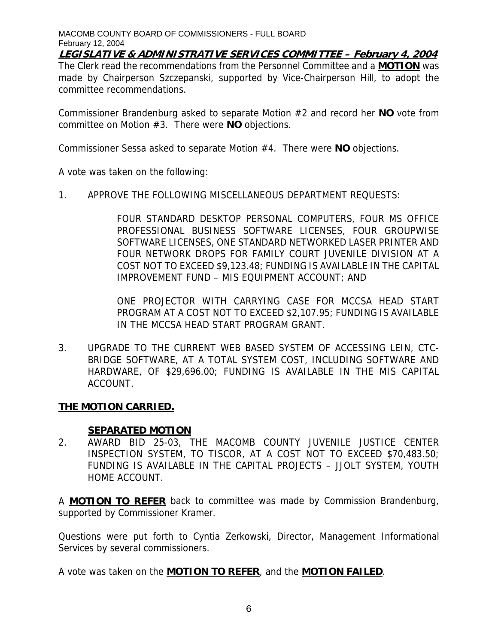**LEGISLATIVE & ADMINISTRATIVE SERVICES COMMITTEE – February 4, 2004** The Clerk read the recommendations from the Personnel Committee and a **MOTION** was made by Chairperson Szczepanski, supported by Vice-Chairperson Hill, to adopt the committee recommendations.

Commissioner Brandenburg asked to separate Motion #2 and record her **NO** vote from committee on Motion #3. There were **NO** objections.

Commissioner Sessa asked to separate Motion #4. There were **NO** objections.

A vote was taken on the following:

1. APPROVE THE FOLLOWING MISCELLANEOUS DEPARTMENT REQUESTS:

FOUR STANDARD DESKTOP PERSONAL COMPUTERS, FOUR MS OFFICE PROFESSIONAL BUSINESS SOFTWARE LICENSES, FOUR GROUPWISE SOFTWARE LICENSES, ONE STANDARD NETWORKED LASER PRINTER AND FOUR NETWORK DROPS FOR FAMILY COURT JUVENILE DIVISION AT A COST NOT TO EXCEED \$9,123.48; FUNDING IS AVAILABLE IN THE CAPITAL IMPROVEMENT FUND – MIS EQUIPMENT ACCOUNT; AND

ONE PROJECTOR WITH CARRYING CASE FOR MCCSA HEAD START PROGRAM AT A COST NOT TO EXCEED \$2,107.95; FUNDING IS AVAILABLE IN THE MCCSA HEAD START PROGRAM GRANT.

3. UPGRADE TO THE CURRENT WEB BASED SYSTEM OF ACCESSING LEIN, CTC-BRIDGE SOFTWARE, AT A TOTAL SYSTEM COST, INCLUDING SOFTWARE AND HARDWARE, OF \$29,696.00; FUNDING IS AVAILABLE IN THE MIS CAPITAL ACCOUNT.

# **THE MOTION CARRIED.**

## **SEPARATED MOTION**

2. AWARD BID 25-03, THE MACOMB COUNTY JUVENILE JUSTICE CENTER INSPECTION SYSTEM, TO TISCOR, AT A COST NOT TO EXCEED \$70,483.50; FUNDING IS AVAILABLE IN THE CAPITAL PROJECTS – JJOLT SYSTEM, YOUTH HOME ACCOUNT.

A **MOTION TO REFER** back to committee was made by Commission Brandenburg, supported by Commissioner Kramer.

Questions were put forth to Cyntia Zerkowski, Director, Management Informational Services by several commissioners.

A vote was taken on the **MOTION TO REFER**, and the **MOTION FAILED**.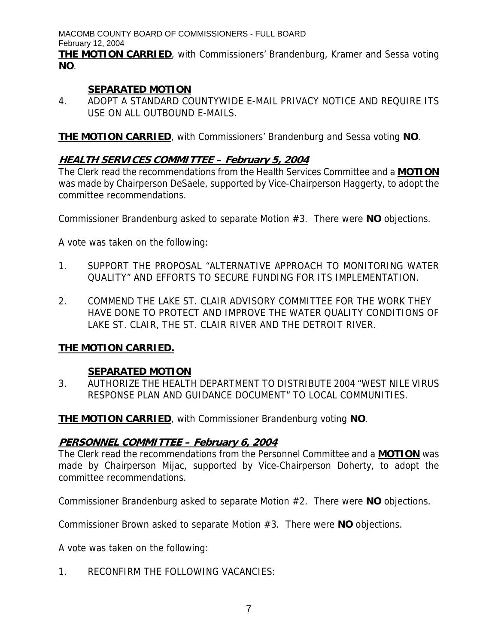**THE MOTION CARRIED**, with Commissioners' Brandenburg, Kramer and Sessa voting **NO**.

# **SEPARATED MOTION**

4. ADOPT A STANDARD COUNTYWIDE E-MAIL PRIVACY NOTICE AND REQUIRE ITS USE ON ALL OUTBOUND E-MAILS.

**THE MOTION CARRIED**, with Commissioners' Brandenburg and Sessa voting **NO**.

# **HEALTH SERVICES COMMITTEE – February 5, 2004**

The Clerk read the recommendations from the Health Services Committee and a **MOTION** was made by Chairperson DeSaele, supported by Vice-Chairperson Haggerty, to adopt the committee recommendations.

Commissioner Brandenburg asked to separate Motion #3. There were **NO** objections.

A vote was taken on the following:

- 1. SUPPORT THE PROPOSAL "ALTERNATIVE APPROACH TO MONITORING WATER QUALITY" AND EFFORTS TO SECURE FUNDING FOR ITS IMPLEMENTATION.
- 2. COMMEND THE LAKE ST. CLAIR ADVISORY COMMITTEE FOR THE WORK THEY HAVE DONE TO PROTECT AND IMPROVE THE WATER QUALITY CONDITIONS OF LAKE ST. CLAIR, THE ST. CLAIR RIVER AND THE DETROIT RIVER.

# **THE MOTION CARRIED.**

# **SEPARATED MOTION**

3. AUTHORIZE THE HEALTH DEPARTMENT TO DISTRIBUTE 2004 "WEST NILE VIRUS RESPONSE PLAN AND GUIDANCE DOCUMENT" TO LOCAL COMMUNITIES.

**THE MOTION CARRIED**, with Commissioner Brandenburg voting **NO**.

# **PERSONNEL COMMITTEE – February 6, 2004**

The Clerk read the recommendations from the Personnel Committee and a **MOTION** was made by Chairperson Mijac, supported by Vice-Chairperson Doherty, to adopt the committee recommendations.

Commissioner Brandenburg asked to separate Motion #2. There were **NO** objections.

Commissioner Brown asked to separate Motion #3. There were **NO** objections.

A vote was taken on the following:

1. RECONFIRM THE FOLLOWING VACANCIES: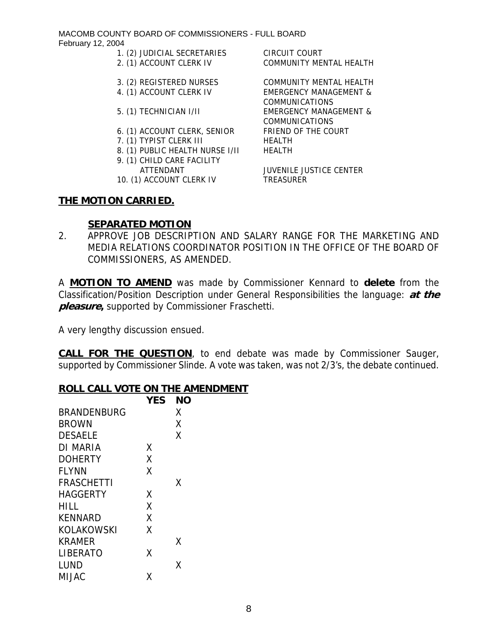- 1. (2) JUDICIAL SECRETARIES CIRCUIT COURT
- 2. (1) ACCOUNT CLERK IV COMMUNITY MENTAL HEALTH
- 
- 
- 5. (1) TECHNICIAN I/II EMERGENCY MANAGEMENT &
- 6. (1) ACCOUNT CLERK, SENIOR FRIEND OF THE COURT
- 7. (1) TYPIST CLERK III HEALTH
- 8. (1) PUBLIC HEALTH NURSE I/II HEALTH
- 9. (1) CHILD CARE FACILITY
- 10. (1) ACCOUNT CLERK IV TREASURER

# **THE MOTION CARRIED.**

# 3. (2) REGISTERED NURSES COMMUNITY MENTAL HEALTH 4. (1) ACCOUNT CLERK IV EMERGENCY MANAGEMENT & COMMUNICATIONS

COMMUNICATIONS

ATTENDANT JUVENILE JUSTICE CENTER

# **SEPARATED MOTION**

2. APPROVE JOB DESCRIPTION AND SALARY RANGE FOR THE MARKETING AND MEDIA RELATIONS COORDINATOR POSITION IN THE OFFICE OF THE BOARD OF COMMISSIONERS, AS AMENDED.

A **MOTION TO AMEND** was made by Commissioner Kennard to **delete** from the Classification/Position Description under General Responsibilities the language: **at the pleasure,** supported by Commissioner Fraschetti.

A very lengthy discussion ensued.

**CALL FOR THE QUESTION**, to end debate was made by Commissioner Sauger, supported by Commissioner Slinde. A vote was taken, was not 2/3's, the debate continued.

# **ROLL CALL VOTE ON THE AMENDMENT YES NO**

| <b>YES</b> | NΟ |
|------------|----|
|            | Χ  |
|            | Χ  |
|            | Χ  |
| χ          |    |
| X          |    |
| X          |    |
|            | Χ  |
| Χ          |    |
| X          |    |
| X          |    |
| X          |    |
|            | Χ  |
| x          |    |
|            | x  |
| Χ          |    |
|            |    |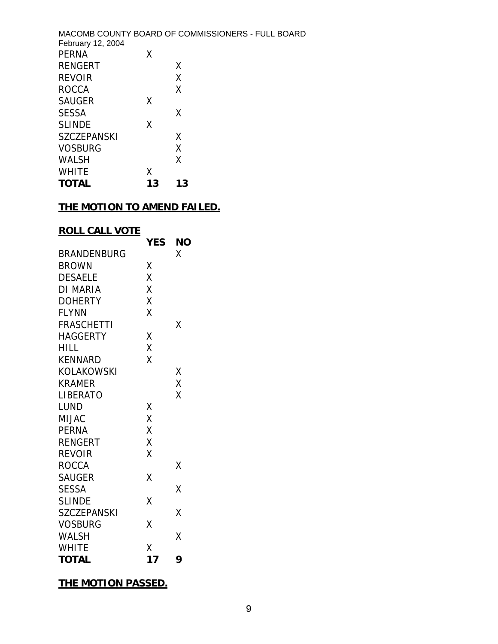|                    |    | MACOMB COUNTY BOARD OF COMMISSIONERS - FULL BOARD |
|--------------------|----|---------------------------------------------------|
| February 12, 2004  |    |                                                   |
| <b>PERNA</b>       | Χ  |                                                   |
| <b>RENGERT</b>     |    | X                                                 |
| <b>REVOIR</b>      |    | X                                                 |
| <b>ROCCA</b>       |    | X                                                 |
| <b>SAUGER</b>      | Χ  |                                                   |
| <b>SESSA</b>       |    | X                                                 |
| <b>SLINDE</b>      | χ  |                                                   |
| <b>SZCZEPANSKI</b> |    | X                                                 |
| <b>VOSBURG</b>     |    | Χ                                                 |
| WALSH              |    | X                                                 |
| <b>WHITE</b>       | Χ  |                                                   |
| <b>TOTAL</b>       | 13 | 13                                                |

# **THE MOTION TO AMEND FAILED.**

# **ROLL CALL VOTE**

|                    | <b>YES</b> | <b>NO</b> |
|--------------------|------------|-----------|
| <b>BRANDENBURG</b> |            | Χ         |
| <b>BROWN</b>       | Χ          |           |
| <b>DESAELE</b>     | X          |           |
| DI MARIA           | X          |           |
| <b>DOHERTY</b>     | X          |           |
| <b>FLYNN</b>       | X          |           |
| <b>FRASCHETTI</b>  |            | Χ         |
| <b>HAGGERTY</b>    | Χ          |           |
| <b>HILL</b>        | X          |           |
| <b>KENNARD</b>     | X          |           |
| KOLAKOWSKI         |            | Χ         |
| <b>KRAMER</b>      |            | X         |
| <b>LIBERATO</b>    |            | Χ         |
| <b>LUND</b>        | Χ          |           |
| MIJAC              | X          |           |
| <b>PERNA</b>       | X          |           |
| <b>RENGERT</b>     | Χ          |           |
| <b>REVOIR</b>      | X          |           |
| <b>ROCCA</b>       |            | Χ         |
| <b>SAUGER</b>      | Χ          |           |
| <b>SESSA</b>       |            | Χ         |
| <b>SLINDE</b>      | X          |           |
| <b>SZCZEPANSKI</b> |            | Χ         |
| <b>VOSBURG</b>     | Χ          |           |
| <b>WALSH</b>       |            | X         |
| <b>WHITE</b>       | Χ          |           |
| <b>TOTAL</b>       | 17         | 9         |

**THE MOTION PASSED.**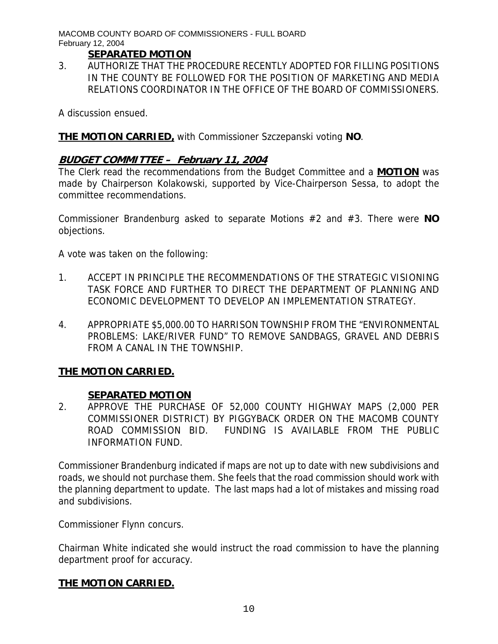# **SEPARATED MOTION**

3. AUTHORIZE THAT THE PROCEDURE RECENTLY ADOPTED FOR FILLING POSITIONS IN THE COUNTY BE FOLLOWED FOR THE POSITION OF MARKETING AND MEDIA RELATIONS COORDINATOR IN THE OFFICE OF THE BOARD OF COMMISSIONERS.

A discussion ensued.

# **THE MOTION CARRIED,** with Commissioner Szczepanski voting **NO**.

# **BUDGET COMMITTEE – February 11, 2004**

The Clerk read the recommendations from the Budget Committee and a **MOTION** was made by Chairperson Kolakowski, supported by Vice-Chairperson Sessa, to adopt the committee recommendations.

Commissioner Brandenburg asked to separate Motions #2 and #3. There were **NO** objections.

A vote was taken on the following:

- 1. ACCEPT IN PRINCIPLE THE RECOMMENDATIONS OF THE STRATEGIC VISIONING TASK FORCE AND FURTHER TO DIRECT THE DEPARTMENT OF PLANNING AND ECONOMIC DEVELOPMENT TO DEVELOP AN IMPLEMENTATION STRATEGY.
- 4. APPROPRIATE \$5,000.00 TO HARRISON TOWNSHIP FROM THE "ENVIRONMENTAL PROBLEMS: LAKE/RIVER FUND" TO REMOVE SANDBAGS, GRAVEL AND DEBRIS FROM A CANAL IN THE TOWNSHIP.

# **THE MOTION CARRIED.**

# **SEPARATED MOTION**

2. APPROVE THE PURCHASE OF 52,000 COUNTY HIGHWAY MAPS (2,000 PER COMMISSIONER DISTRICT) BY PIGGYBACK ORDER ON THE MACOMB COUNTY ROAD COMMISSION BID. FUNDING IS AVAILABLE FROM THE PUBLIC INFORMATION FUND.

Commissioner Brandenburg indicated if maps are not up to date with new subdivisions and roads, we should not purchase them. She feels that the road commission should work with the planning department to update. The last maps had a lot of mistakes and missing road and subdivisions.

Commissioner Flynn concurs.

Chairman White indicated she would instruct the road commission to have the planning department proof for accuracy.

# **THE MOTION CARRIED.**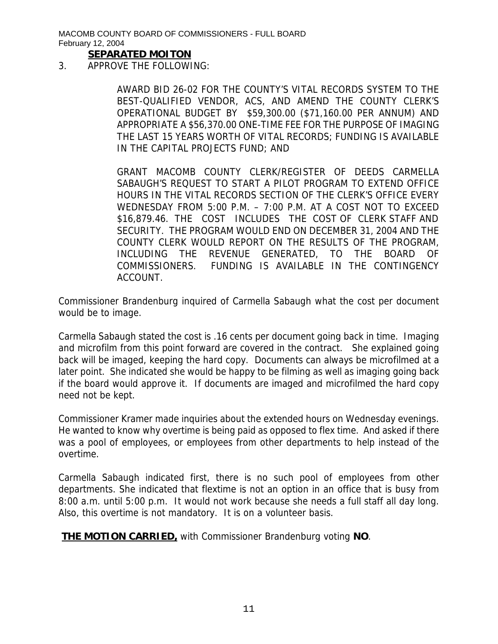## **SEPARATED MOITON**

3. APPROVE THE FOLLOWING:

AWARD BID 26-02 FOR THE COUNTY'S VITAL RECORDS SYSTEM TO THE BEST-QUALIFIED VENDOR, ACS, AND AMEND THE COUNTY CLERK'S OPERATIONAL BUDGET BY \$59,300.00 (\$71,160.00 PER ANNUM) AND APPROPRIATE A \$56,370.00 ONE-TIME FEE FOR THE PURPOSE OF IMAGING THE LAST 15 YEARS WORTH OF VITAL RECORDS; FUNDING IS AVAILABLE IN THE CAPITAL PROJECTS FUND; AND

GRANT MACOMB COUNTY CLERK/REGISTER OF DEEDS CARMELLA SABAUGH'S REQUEST TO START A PILOT PROGRAM TO EXTEND OFFICE HOURS IN THE VITAL RECORDS SECTION OF THE CLERK'S OFFICE EVERY WEDNESDAY FROM 5:00 P.M. – 7:00 P.M. AT A COST NOT TO EXCEED \$16,879.46. THE COST INCLUDES THE COST OF CLERK STAFF AND SECURITY. THE PROGRAM WOULD END ON DECEMBER 31, 2004 AND THE COUNTY CLERK WOULD REPORT ON THE RESULTS OF THE PROGRAM, INCLUDING THE REVENUE GENERATED, TO THE BOARD OF COMMISSIONERS. FUNDING IS AVAILABLE IN THE CONTINGENCY ACCOUNT.

Commissioner Brandenburg inquired of Carmella Sabaugh what the cost per document would be to image.

Carmella Sabaugh stated the cost is .16 cents per document going back in time. Imaging and microfilm from this point forward are covered in the contract. She explained going back will be imaged, keeping the hard copy. Documents can always be microfilmed at a later point. She indicated she would be happy to be filming as well as imaging going back if the board would approve it. If documents are imaged and microfilmed the hard copy need not be kept.

Commissioner Kramer made inquiries about the extended hours on Wednesday evenings. He wanted to know why overtime is being paid as opposed to flex time. And asked if there was a pool of employees, or employees from other departments to help instead of the overtime.

Carmella Sabaugh indicated first, there is no such pool of employees from other departments. She indicated that flextime is not an option in an office that is busy from 8:00 a.m. until 5:00 p.m. It would not work because she needs a full staff all day long. Also, this overtime is not mandatory. It is on a volunteer basis.

**THE MOTION CARRIED,** with Commissioner Brandenburg voting **NO**.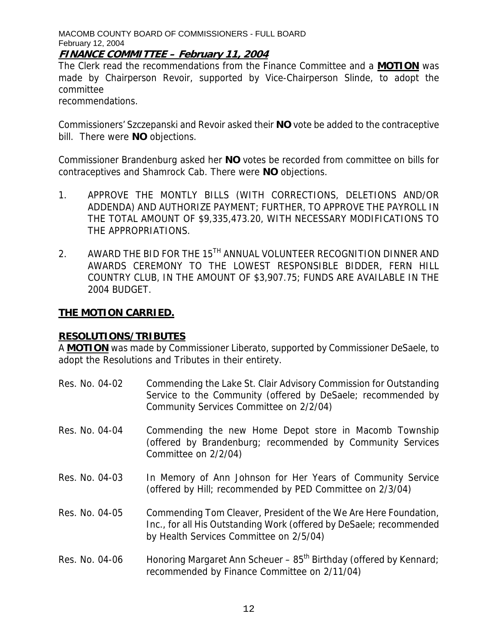## **FINANCE COMMITTEE – February 11, 2004**

The Clerk read the recommendations from the Finance Committee and a **MOTION** was made by Chairperson Revoir, supported by Vice-Chairperson Slinde, to adopt the committee

recommendations.

Commissioners' Szczepanski and Revoir asked their **NO** vote be added to the contraceptive bill. There were **NO** objections.

Commissioner Brandenburg asked her **NO** votes be recorded from committee on bills for contraceptives and Shamrock Cab. There were **NO** objections.

- 1. APPROVE THE MONTLY BILLS (WITH CORRECTIONS, DELETIONS AND/OR ADDENDA) AND AUTHORIZE PAYMENT; FURTHER, TO APPROVE THE PAYROLL IN THE TOTAL AMOUNT OF \$9,335,473.20, WITH NECESSARY MODIFICATIONS TO THE APPROPRIATIONS.
- 2. AWARD THE BID FOR THE 15<sup>TH</sup> ANNUAL VOLUNTEER RECOGNITION DINNER AND AWARDS CEREMONY TO THE LOWEST RESPONSIBLE BIDDER, FERN HILL COUNTRY CLUB, IN THE AMOUNT OF \$3,907.75; FUNDS ARE AVAILABLE IN THE 2004 BUDGET.

## **THE MOTION CARRIED.**

#### **RESOLUTIONS/TRIBUTES**

A **MOTION** was made by Commissioner Liberato, supported by Commissioner DeSaele, to adopt the Resolutions and Tributes in their entirety.

- Res. No. 04-02 Commending the Lake St. Clair Advisory Commission for Outstanding Service to the Community (offered by DeSaele; recommended by Community Services Committee on 2/2/04)
- Res. No. 04-04 Commending the new Home Depot store in Macomb Township (offered by Brandenburg; recommended by Community Services Committee on 2/2/04)
- Res. No. 04-03 In Memory of Ann Johnson for Her Years of Community Service (offered by Hill; recommended by PED Committee on 2/3/04)

Res. No. 04-05 Commending Tom Cleaver, President of the We Are Here Foundation, Inc., for all His Outstanding Work (offered by DeSaele; recommended by Health Services Committee on 2/5/04)

Res. No. 04-06 Honoring Margaret Ann Scheuer –  $85<sup>th</sup>$  Birthday (offered by Kennard; recommended by Finance Committee on 2/11/04)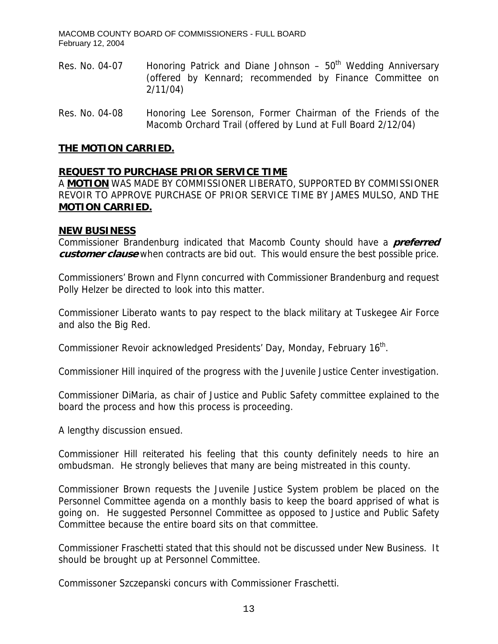- Res. No. 04-07 Honoring Patrick and Diane Johnson  $50<sup>th</sup>$  Wedding Anniversary (offered by Kennard; recommended by Finance Committee on 2/11/04)
- Res. No. 04-08 Honoring Lee Sorenson, Former Chairman of the Friends of the Macomb Orchard Trail (offered by Lund at Full Board 2/12/04)

## **THE MOTION CARRIED.**

## **REQUEST TO PURCHASE PRIOR SERVICE TIME**

A **MOTION** WAS MADE BY COMMISSIONER LIBERATO, SUPPORTED BY COMMISSIONER REVOIR TO APPROVE PURCHASE OF PRIOR SERVICE TIME BY JAMES MULSO, AND THE **MOTION CARRIED.**

#### **NEW BUSINESS**

Commissioner Brandenburg indicated that Macomb County should have a **preferred customer clause** when contracts are bid out. This would ensure the best possible price.

Commissioners' Brown and Flynn concurred with Commissioner Brandenburg and request Polly Helzer be directed to look into this matter.

Commissioner Liberato wants to pay respect to the black military at Tuskegee Air Force and also the Big Red.

Commissioner Revoir acknowledged Presidents' Day, Monday, February 16<sup>th</sup>.

Commissioner Hill inquired of the progress with the Juvenile Justice Center investigation.

Commissioner DiMaria, as chair of Justice and Public Safety committee explained to the board the process and how this process is proceeding.

A lengthy discussion ensued.

Commissioner Hill reiterated his feeling that this county definitely needs to hire an ombudsman. He strongly believes that many are being mistreated in this county.

Commissioner Brown requests the Juvenile Justice System problem be placed on the Personnel Committee agenda on a monthly basis to keep the board apprised of what is going on. He suggested Personnel Committee as opposed to Justice and Public Safety Committee because the entire board sits on that committee.

Commissioner Fraschetti stated that this should not be discussed under New Business. It should be brought up at Personnel Committee.

Commissoner Szczepanski concurs with Commissioner Fraschetti.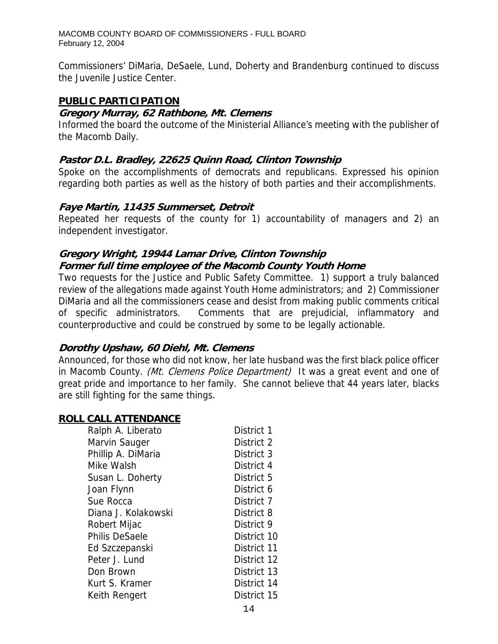Commissioners' DiMaria, DeSaele, Lund, Doherty and Brandenburg continued to discuss the Juvenile Justice Center.

## **PUBLIC PARTICIPATION**

## **Gregory Murray, 62 Rathbone, Mt. Clemens**

Informed the board the outcome of the Ministerial Alliance's meeting with the publisher of the Macomb Daily.

## **Pastor D.L. Bradley, 22625 Quinn Road, Clinton Township**

Spoke on the accomplishments of democrats and republicans. Expressed his opinion regarding both parties as well as the history of both parties and their accomplishments.

## **Faye Martin, 11435 Summerset, Detroit**

Repeated her requests of the county for 1) accountability of managers and 2) an independent investigator.

# **Gregory Wright, 19944 Lamar Drive, Clinton Township Former full time employee of the Macomb County Youth Home**

Two requests for the Justice and Public Safety Committee. 1) support a truly balanced review of the allegations made against Youth Home administrators; and 2) Commissioner DiMaria and all the commissioners cease and desist from making public comments critical of specific administrators. Comments that are prejudicial, inflammatory and counterproductive and could be construed by some to be legally actionable.

# **Dorothy Upshaw, 60 Diehl, Mt. Clemens**

Announced, for those who did not know, her late husband was the first black police officer in Macomb County. *(Mt. Clemens Police Department)* It was a great event and one of great pride and importance to her family. She cannot believe that 44 years later, blacks are still fighting for the same things.

## **ROLL CALL ATTENDANCE**

| Ralph A. Liberato     | District 1  |
|-----------------------|-------------|
| Marvin Sauger         | District 2  |
| Phillip A. DiMaria    | District 3  |
| Mike Walsh            | District 4  |
| Susan L. Doherty      | District 5  |
| Joan Flynn            | District 6  |
| Sue Rocca             | District 7  |
| Diana J. Kolakowski   | District 8  |
| Robert Mijac          | District 9  |
| <b>Philis DeSaele</b> | District 10 |
| Ed Szczepanski        | District 11 |
| Peter J. Lund         | District 12 |
| Don Brown             | District 13 |
| Kurt S. Kramer        | District 14 |
| Keith Rengert         | District 15 |